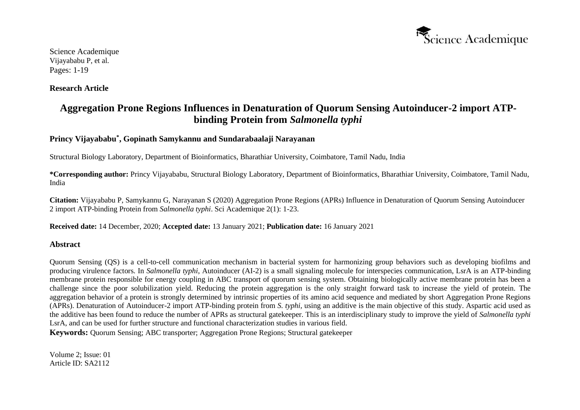

**Research Article**

# **Aggregation Prone Regions Influences in Denaturation of Quorum Sensing Autoinducer-2 import ATPbinding Protein from** *Salmonella typhi*

# **Princy Vijayababu\* , Gopinath Samykannu and Sundarabaalaji Narayanan**

Structural Biology Laboratory, Department of Bioinformatics, Bharathiar University, Coimbatore, Tamil Nadu, India

**\*Corresponding author:** Princy Vijayababu, Structural Biology Laboratory, Department of Bioinformatics, Bharathiar University, Coimbatore, Tamil Nadu, India

**Citation:** Vijayababu P, Samykannu G, Narayanan S (2020) Aggregation Prone Regions (APRs) Influence in Denaturation of Quorum Sensing Autoinducer 2 import ATP-binding Protein from *Salmonella typhi*. Sci Academique 2(1): 1-23.

**Received date:** 14 December, 2020; **Accepted date:** 13 January 2021; **Publication date:** 16 January 2021

# **Abstract**

Quorum Sensing (QS) is a cell-to-cell communication mechanism in bacterial system for harmonizing group behaviors such as developing biofilms and producing virulence factors. In *Salmonella typhi*, Autoinducer (AI-2) is a small signaling molecule for interspecies communication, LsrA is an ATP-binding membrane protein responsible for energy coupling in ABC transport of quorum sensing system. Obtaining biologically active membrane protein has been a challenge since the poor solubilization yield. Reducing the protein aggregation is the only straight forward task to increase the yield of protein. The aggregation behavior of a protein is strongly determined by intrinsic properties of its amino acid sequence and mediated by short Aggregation Prone Regions (APRs). Denaturation of Autoinducer-2 import ATP-binding protein from *S. typhi,* using an additive is the main objective of this study. Aspartic acid used as the additive has been found to reduce the number of APRs as structural gatekeeper. This is an interdisciplinary study to improve the yield of *Salmonella typhi*  LsrA, and can be used for further structure and functional characterization studies in various field.

**Keywords:** Quorum Sensing; ABC transporter; Aggregation Prone Regions; Structural gatekeeper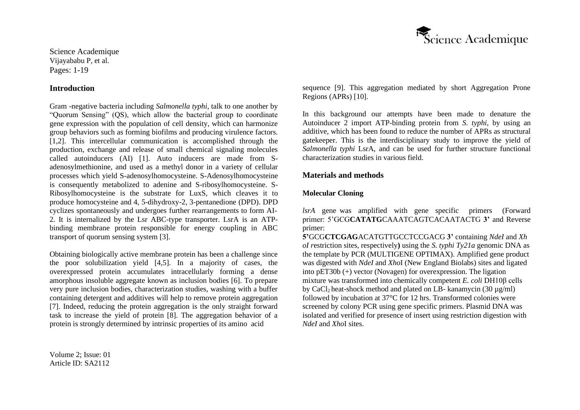

#### **Introduction**

Gram -negative bacteria including *Salmonella typhi*, talk to one another by "Quorum Sensing" (QS), which allow the bacterial group to coordinate gene expression with the population of cell density, which can harmonize group behaviors such as forming biofilms and producing virulence factors. [1,2]. This intercellular communication is accomplished through the production, exchange and release of small chemical signaling molecules called autoinducers (AI) [1]. Auto inducers are made from Sadenosylmethionine, and used as a methyl donor in a variety of cellular processes which yield S-adenosylhomocysteine. S-Adenosylhomocysteine is consequently metabolized to adenine and S-ribosylhomocysteine. S-Ribosylhomocysteine is the substrate for LuxS, which cleaves it to produce homocysteine and 4, 5-dihydroxy-2, 3-pentanedione (DPD). DPD cyclizes spontaneously and undergoes further rearrangements to form AI-2. It is internalized by the Lsr ABC-type transporter. LsrA is an ATPbinding membrane protein responsible for energy coupling in ABC transport of quorum sensing system [3].

Obtaining biologically active membrane protein has been a challenge since the poor solubilization yield [4,5]. In a majority of cases, the overexpressed protein accumulates intracellularly forming a dense amorphous insoluble aggregate known as inclusion bodies [6]. To prepare very pure inclusion bodies, characterization studies, washing with a buffer containing detergent and additives will help to remove protein aggregation [7]. Indeed, reducing the protein aggregation is the only straight forward task to increase the yield of protein [8]. The aggregation behavior of a protein is strongly determined by intrinsic properties of its amino acid

Volume 2; Issue: 01 Article ID: SA2112

sequence [9]. This aggregation mediated by short Aggregation Prone Regions (APRs) [10].

In this background our attempts have been made to denature the Autoinducer 2 import ATP-binding protein from *S. typhi,* by using an additive, which has been found to reduce the number of APRs as structural gatekeeper. This is the interdisciplinary study to improve the yield of *Salmonella typhi* LsrA, and can be used for further structure functional characterization studies in various field.

#### **Materials and methods**

# **Molecular Cloning**

*lsrA* gene was amplified with gene specific primers (Forward primer: 5'GCG**CATATG**CAAATCAGTCACAATACTG **3'** and Reverse primer:

**5'**GCG**CTCGAG**ACATGTTGCCTCCGACG **3'** containing *NdeI* and *Xh oI r*estriction sites, respectively**)** using the *S. typhi Ty21a* genomic DNA as the template by PCR (MULTIGENE OPTIMAX). Amplified gene product was digested with *NdeI* and *Xho*I (New England Biolabs) sites and ligated into pET30b (+) vector (Novagen) for overexpression. The ligation mixture was transformed into chemically competent *E. coli* DH10β cells by CaCl<sub>2</sub> heat-shock method and plated on LB- kanamycin (30  $\mu$ g/ml) followed by incubation at 37°C for 12 hrs. Transformed colonies were screened by colony PCR using gene specific primers. Plasmid DNA was isolated and verified for presence of insert using restriction digestion with *NdeI* and *Xho*I sites.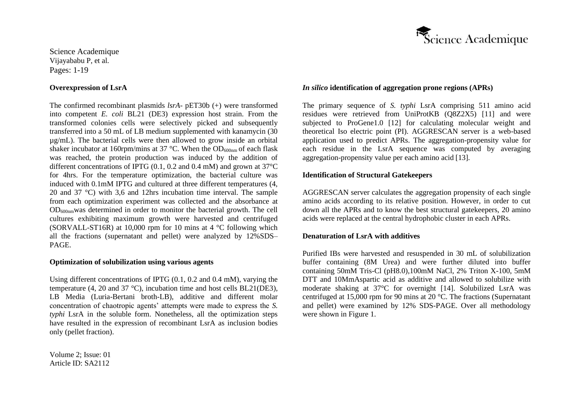#### **Overexpression of LsrA**

The confirmed recombinant plasmids *lsrA*- pET30b (+) were transformed into competent *E. coli* BL21 (DE3) expression host strain. From the transformed colonies cells were selectively picked and subsequently transferred into a 50 mL of LB medium supplemented with kanamycin (30 µg/mL). The bacterial cells were then allowed to grow inside an orbital shaker incubator at 160rpm/mins at 37 °C. When the OD<sub>600nm</sub> of each flask was reached, the protein production was induced by the addition of different concentrations of IPTG (0.1, 0.2 and 0.4 mM) and grown at 37°C for 4hrs. For the temperature optimization, the bacterial culture was induced with 0.1mM IPTG and cultured at three different temperatures (4, 20 and 37 °C) with 3,6 and 12hrs incubation time interval. The sample from each optimization experiment was collected and the absorbance at OD600nmwas determined in order to monitor the bacterial growth. The cell cultures exhibiting maximum growth were harvested and centrifuged (SORVALL-ST16R) at 10,000 rpm for 10 mins at 4 °C following which all the fractions (supernatant and pellet) were analyzed by 12%SDS– PAGE.

#### **Optimization of solubilization using various agents**

Using different concentrations of IPTG (0.1, 0.2 and 0.4 mM), varying the temperature (4, 20 and 37 °C), incubation time and host cells BL21(DE3), LB Media (Luria-Bertani broth-LB), additive and different molar concentration of chaotropic agents' attempts were made to express the *S. typhi* LsrA in the soluble form. Nonetheless, all the optimization steps have resulted in the expression of recombinant LsrA as inclusion bodies only (pellet fraction).

Volume 2; Issue: 01 Article ID: SA2112



### *In silico* **identification of aggregation prone regions (APRs)**

The primary sequence of *S. typhi* LsrA comprising 511 amino acid residues were retrieved from UniProtKB (Q8Z2X5) [11] and were subjected to ProGene1.0 [12] for calculating molecular weight and theoretical Iso electric point (PI). AGGRESCAN server is a web-based application used to predict APRs. The aggregation-propensity value for each residue in the LsrA sequence was computed by averaging aggregation-propensity value per each amino acid [13].

### **Identification of Structural Gatekeepers**

AGGRESCAN server calculates the aggregation propensity of each single amino acids according to its relative position. However, in order to cut down all the APRs and to know the best structural gatekeepers, 20 amino acids were replaced at the central hydrophobic cluster in each APRs.

#### **Denaturation of LsrA with additives**

Purified IBs were harvested and resuspended in 30 mL of solubilization buffer containing (8M Urea) and were further diluted into buffer containing 50mM Tris-Cl (pH8.0),100mM NaCl, 2% Triton X-100, 5mM DTT and 10MmAspartic acid as additive and allowed to solubilize with moderate shaking at 37°C for overnight [14]. Solubilized LsrA was centrifuged at 15,000 rpm for 90 mins at 20 °C. The fractions (Supernatant and pellet) were examined by 12% SDS-PAGE. Over all methodology were shown in Figure 1.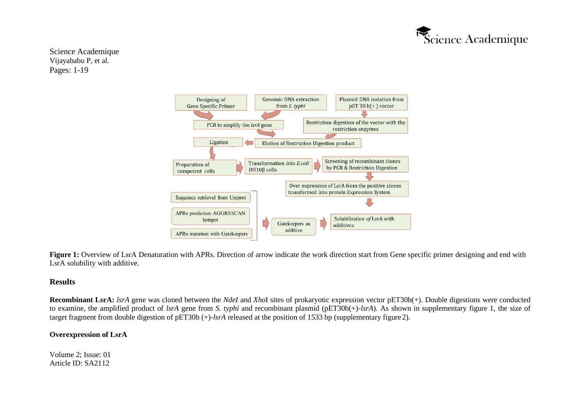



Figure 1: Overview of LsrA Denaturation with APRs. Direction of arrow indicate the work direction start from Gene specific primer designing and end with LsrA solubility with additive.

### **Results**

**Recombinant LsrA:** *lsrA* gene was cloned between the *NdeI* and *Xho*I sites of prokaryotic expression vector pET30b(+). Double digestions were conducted to examine, the amplified product of *lsrA* gene from *S. typhi* and recombinant plasmid (pET30b(+)-*lsrA*). As shown in supplementary figure 1, the size of target fragment from double digestion of pET30b (+)-*lsrA* released at the position of 1533 bp (supplementary figure 2).

# **Overexpression of LsrA**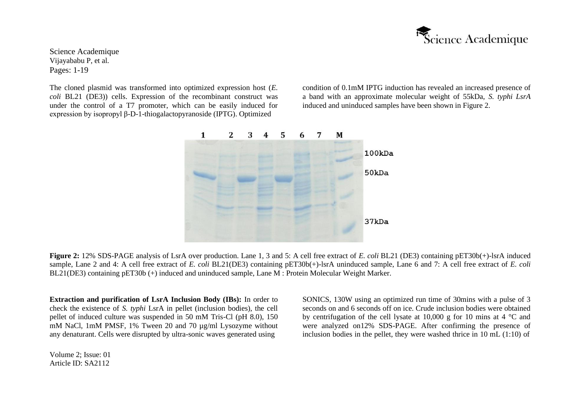

The cloned plasmid was transformed into optimized expression host (*E. coli* BL21 (DE3)) cells. Expression of the recombinant construct was under the control of a T7 promoter, which can be easily induced for expression by isopropyl β-D-1-thiogalactopyranoside (IPTG). Optimized

condition of 0.1mM IPTG induction has revealed an increased presence of a band with an approximate molecular weight of 55kDa, *S. typhi LsrA*  induced and uninduced samples have been shown in Figure 2.



**Figure 2:** 12% SDS-PAGE analysis of LsrA over production. Lane 1, 3 and 5: A cell free extract of *E. coli* BL21 (DE3) containing pET30b(+)-lsrA induced sample, Lane 2 and 4: A cell free extract of *E. coli* BL21(DE3) containing pET30b(+)-lsrA uninduced sample, Lane 6 and 7: A cell free extract of *E. coli*  BL21(DE3) containing pET30b (+) induced and uninduced sample, Lane M : Protein Molecular Weight Marker.

**Extraction and purification of LsrA Inclusion Body (IBs):** In order to check the existence of *S. typhi* LsrA in pellet (inclusion bodies), the cell pellet of induced culture was suspended in 50 mM Tris-Cl (pH 8.0), 150 mM NaCl, 1mM PMSF, 1% Tween 20 and 70 µg/ml Lysozyme without any denaturant. Cells were disrupted by ultra-sonic waves generated using

Volume 2; Issue: 01 Article ID: SA2112

SONICS, 130W using an optimized run time of 30mins with a pulse of 3 seconds on and 6 seconds off on ice. Crude inclusion bodies were obtained by centrifugation of the cell lysate at 10,000 g for 10 mins at 4 °C and were analyzed on12% SDS-PAGE. After confirming the presence of inclusion bodies in the pellet, they were washed thrice in 10 mL (1:10) of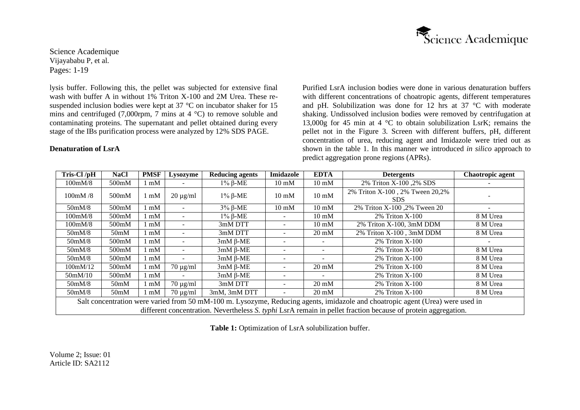

lysis buffer. Following this, the pellet was subjected for extensive final wash with buffer A in without  $1\%$  Triton X-100 and 2M Urea. These resuspended inclusion bodies were kept at 37 °C on incubator shaker for 15 mins and centrifuged (7,000rpm, 7 mins at 4  $^{\circ}$ C) to remove soluble and contaminating proteins. The supernatant and pellet obtained during every stage of the IBs purification process were analyzed by 12% SDS PAGE.

## **Denaturation of LsrA**

Purified LsrA inclusion bodies were done in various denaturation buffers with different concentrations of choatropic agents, different temperatures and pH. Solubilization was done for 12 hrs at 37 °C with moderate shaking. Undissolved inclusion bodies were removed by centrifugation at 13,000g for 45 min at 4 °C to obtain solubilization LsrK; remains the pellet not in the Figure 3. Screen with different buffers, pH, different concentration of urea, reducing agent and Imidazole were tried out as shown in the table 1. In this manner we introduced *in silico* approach to predict aggregation prone regions (APRs).

| Tris-Cl/pH                                                                                                                                                                                                                                      | <b>NaCl</b>        | <b>PMSF</b> | <b>Lysozyme</b>          | <b>Reducing agents</b> | Imidazole       | <b>EDTA</b>     | <b>Detergents</b>                       | Chaotropic agent |
|-------------------------------------------------------------------------------------------------------------------------------------------------------------------------------------------------------------------------------------------------|--------------------|-------------|--------------------------|------------------------|-----------------|-----------------|-----------------------------------------|------------------|
| 100mM/8                                                                                                                                                                                                                                         | 500mM              | mM          |                          | $1\%$ β-ME             | $10 \text{ mM}$ | $10 \text{ mM}$ | 2% Triton X-100, 2% SDS                 |                  |
| $100 \text{m}$ M $/8$                                                                                                                                                                                                                           | 500 <sub>m</sub> M | mM          | $20 \mu g/ml$            | $1\%$ β-ME             | $10 \text{ mM}$ | $10 \text{ mM}$ | 2% Triton X-100, 2% Tween 20,2%<br>SDS. |                  |
| 50mM/8                                                                                                                                                                                                                                          | 500mM              | mM          |                          | $3\%$ $\beta$ -ME      | $10 \text{ mM}$ | $10 \text{ mM}$ | 2% Triton X-100, 2% Tween 20            |                  |
| 100mM/8                                                                                                                                                                                                                                         | 500 <sub>m</sub> M | mM          |                          | $1\%$ β-ME             |                 | $10 \text{ mM}$ | $2\%$ Triton X-100                      | 8 M Urea         |
| 100mM/8                                                                                                                                                                                                                                         | 500mM              | mM          | $\overline{\phantom{a}}$ | 3mM DTT                |                 | $10 \text{ mM}$ | 2% Triton X-100, 3mM DDM                | 8 M Urea         |
| 50 <sub>m</sub> M/8                                                                                                                                                                                                                             | 50 <sub>m</sub> M  | mM          |                          | 3mM DTT                |                 | $20 \text{ mM}$ | 2% Triton X-100, 3mM DDM                | 8 M Urea         |
| 50 <sub>m</sub> M/8                                                                                                                                                                                                                             | 500mM              | mM          |                          | $3mM \beta$ -ME        |                 |                 | 2% Triton X-100                         |                  |
| 50 <sub>m</sub> M/8                                                                                                                                                                                                                             | 500mM              | mM          |                          | $3mM \beta$ -ME        |                 |                 | $2\%$ Triton X-100                      | 8 M Urea         |
| 50 <sub>m</sub> M/8                                                                                                                                                                                                                             | 500 <sub>m</sub> M | mM          |                          | $3mM \beta$ -ME        |                 |                 | $2\%$ Triton X-100                      | 8 M Urea         |
| 100mM/12                                                                                                                                                                                                                                        | 500mM              | mM          | $70 \mu g/ml$            | $3mM \beta$ -ME        |                 | $20 \text{ mM}$ | 2% Triton X-100                         | 8 M Urea         |
| 50mM/10                                                                                                                                                                                                                                         | 500 <sub>m</sub> M | mM          |                          | $3mM \beta$ -ME        |                 |                 | $2\%$ Triton X-100                      | 8 M Urea         |
| 50mM/8                                                                                                                                                                                                                                          | 50 <sub>m</sub> M  | mM          | $70 \mu g/ml$            | 3mM DTT                |                 | $20 \text{ mM}$ | $2\%$ Triton X-100                      | 8 M Urea         |
| 50mM/8                                                                                                                                                                                                                                          | 50 <sub>m</sub> M  | mM          | $70 \mu g/ml$            | 3mM, 3mM DTT           |                 | $20 \text{ mM}$ | 2% Triton X-100                         | 8 M Urea         |
| Salt concentration were varied from 50 mM-100 m. Lysozyme, Reducing agents, imidazole and choatropic agent (Urea) were used in<br>different concentration. Nevertheless S. typhi LsrA remain in pellet fraction because of protein aggregation. |                    |             |                          |                        |                 |                 |                                         |                  |

Table 1: Optimization of LsrA solubilization buffer.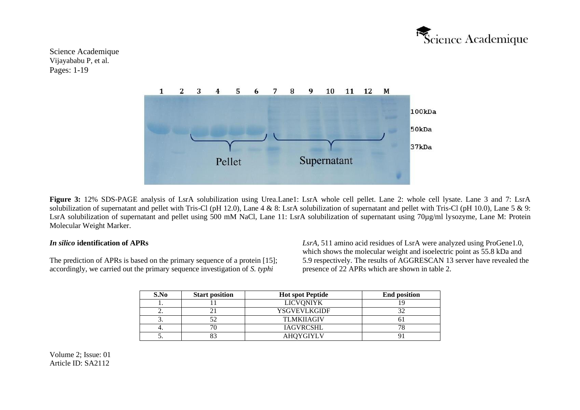



Figure 3: 12% SDS-PAGE analysis of LsrA solubilization using Urea.Lane1: LsrA whole cell pellet. Lane 2: whole cell lysate. Lane 3 and 7: LsrA solubilization of supernatant and pellet with Tris-Cl (pH 12.0), Lane 4 & 8: LsrA solubilization of supernatant and pellet with Tris-Cl (pH 10.0), Lane 5 & 9: LsrA solubilization of supernatant and pellet using 500 mM NaCl, Lane 11: LsrA solubilization of supernatant using 70µg/ml lysozyme, Lane M: Protein Molecular Weight Marker.

#### *In silico* **identification of APRs**

The prediction of APRs is based on the primary sequence of a protein [15]; accordingly, we carried out the primary sequence investigation of *S. typhi*

*LsrA*, 511 amino acid residues of LsrA were analyzed using ProGene1.0, which shows the molecular weight and isoelectric point as 55.8 kDa and 5.9 respectively. The results of AGGRESCAN 13 server have revealed the presence of 22 APRs which are shown in table 2.

| S.No     | <b>Start position</b> | <b>Hot spot Peptide</b> | <b>End position</b> |
|----------|-----------------------|-------------------------|---------------------|
|          |                       | <b>LICVONIYK</b>        |                     |
| <u>.</u> |                       | <b>YSGVEVLKGIDF</b>     |                     |
|          |                       | <b>TLMKIIAGIV</b>       |                     |
|          |                       | <b>IAGVRCSHL</b>        |                     |
|          | ററ                    | <b>AHOYGIYLV</b>        |                     |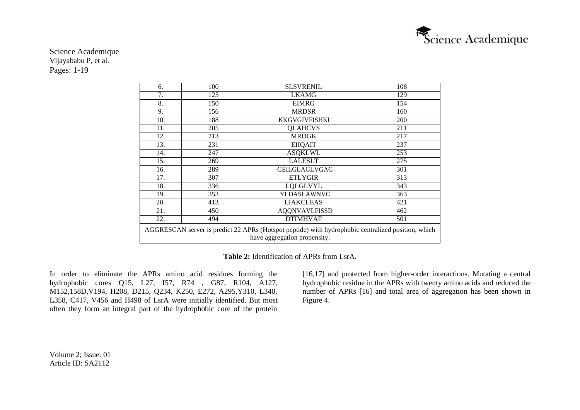

| 6.                                                                                                                                 | 100 | <b>SLSVRENIL</b>     | 108        |  |
|------------------------------------------------------------------------------------------------------------------------------------|-----|----------------------|------------|--|
| 7.                                                                                                                                 | 125 | <b>LKAMG</b>         | 129        |  |
| 8.                                                                                                                                 | 150 | <b>EIMRG</b>         | 154        |  |
| 9.                                                                                                                                 | 156 | <b>MRDSR</b>         | 160        |  |
| 10.                                                                                                                                | 188 | KKGVGIVFISHKL        | <b>200</b> |  |
| 11.                                                                                                                                | 205 | <b>QLAHCVS</b>       | 211        |  |
| 12.                                                                                                                                | 213 | <b>MRDGK</b>         | 217        |  |
| 13.                                                                                                                                | 231 | <b>EIIQAIT</b>       | 237        |  |
| 14.                                                                                                                                | 247 | <b>ASQKLWL</b>       | 253        |  |
| 15.                                                                                                                                | 269 | <b>LALESLT</b>       | 275        |  |
| 16.                                                                                                                                | 289 | <b>GEILGLAGLVGAG</b> | 301        |  |
| 17.                                                                                                                                | 307 | <b>ETLYGIR</b>       | 313        |  |
| 18.                                                                                                                                | 336 | <b>LQLGLVYL</b>      | 343        |  |
| 19.                                                                                                                                | 353 | YLDASLAWNVC          | 363        |  |
| 20.                                                                                                                                | 413 | <b>LIAKCLEAS</b>     | 421        |  |
| 21.                                                                                                                                | 450 | <b>AQQNVAVLFISSD</b> | 462        |  |
| 22.                                                                                                                                | 494 | <b>DTIMHVAF</b>      | 501        |  |
| AGGRESCAN server is predict 22 APRs (Hotspot peptide) with hydrophobic centralized position, which<br>have aggregation propensity. |     |                      |            |  |

**Table 2:** Identification of APRs from LsrA.

In order to eliminate the APRs amino acid residues forming the hydrophobic cores Q15, L27, I57, R74 , G87, R104, A127, M152,158D,V194, H208, D215, Q234, K250, E272, A295,Y310, L340, L358, C417, V456 and H498 of LsrA were initially identified. But most often they form an integral part of the hydrophobic core of the protein

[16,17] and protected from higher-order interactions. Mutating a central hydrophobic residue in the APRs with twenty amino acids and reduced the number of APRs [16] and total area of aggregation has been shown in Figure 4.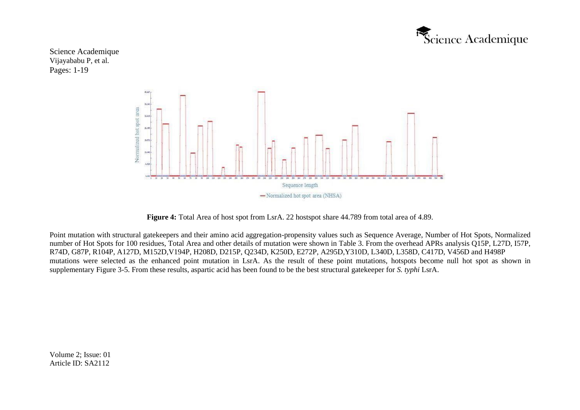



**Figure 4:** Total Area of host spot from LsrA. 22 hostspot share 44.789 from total area of 4.89.

Point mutation with structural gatekeepers and their amino acid aggregation-propensity values such as Sequence Average, Number of Hot Spots, Normalized number of Hot Spots for 100 residues, Total Area and other details of mutation were shown in Table 3. From the overhead APRs analysis Q15P, L27D, I57P, R74D, G87P, R104P, A127D, M152D,V194P, H208D, D215P, Q234D, K250D, E272P, A295D,Y310D, L340D, L358D, C417D, V456D and H498P mutations were selected as the enhanced point mutation in LsrA. As the result of these point mutations, hotspots become null hot spot as shown in supplementary Figure 3-5. From these results, aspartic acid has been found to be the best structural gatekeeper for *S. typhi* LsrA.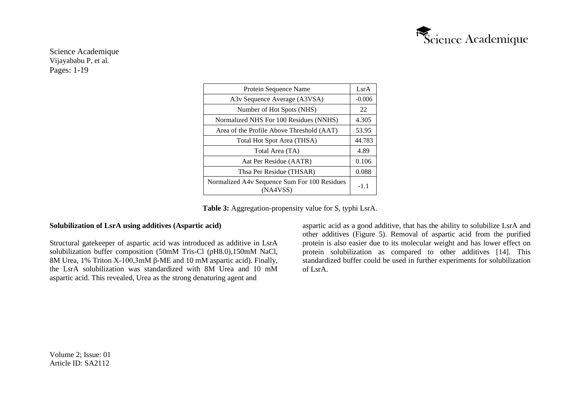

| Protein Sequence Name                                    |       |  |  |  |
|----------------------------------------------------------|-------|--|--|--|
| A3v Sequence Average (A3VSA)                             |       |  |  |  |
| Number of Hot Spots (NHS)                                |       |  |  |  |
| Normalized NHS For 100 Residues (NNHS)                   |       |  |  |  |
| Area of the Profile Above Threshold (AAT)                | 53.95 |  |  |  |
| Total Hot Spot Area (THSA)                               |       |  |  |  |
| Total Area (TA)                                          | 4.89  |  |  |  |
| Aat Per Residue (AATR)                                   | 0.106 |  |  |  |
| Thsa Per Residue (THSAR)                                 | 0.088 |  |  |  |
| Normalized A4v Sequence Sum For 100 Residues<br>(NA4VSS) |       |  |  |  |

**Table 3:** Aggregation-propensity value for S, typhi LsrA.

### **Solubilization of LsrA using additives (Aspartic acid)**

Structural gatekeeper of aspartic acid was introduced as additive in LsrA solubilization buffer composition (50mM Tris-Cl (pH8.0),150mM NaCl, 8M Urea, 1% Triton X-100,3mM β-ME and 10 mM aspartic acid). Finally, the LsrA solubilization was standardized with 8M Urea and 10 mM aspartic acid. This revealed, Urea as the strong denaturing agent and

aspartic acid as a good additive, that has the ability to solubilize LsrA and other additives (Figure 5). Removal of aspartic acid from the purified protein is also easier due to its molecular weight and has lower effect on protein solubilization as compared to other additives [14]. This standardized buffer could be used in further experiments for solubilization of LsrA.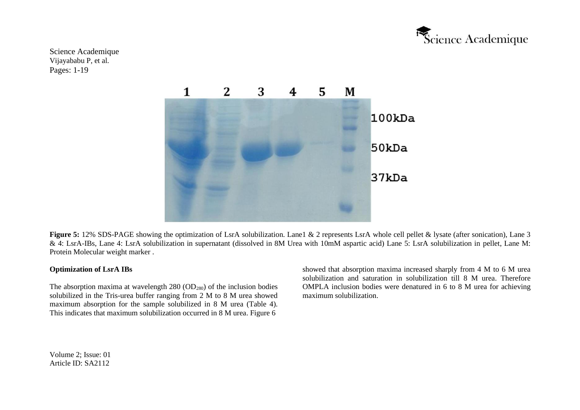



Figure 5: 12% SDS-PAGE showing the optimization of LsrA solubilization. Lane1 & 2 represents LsrA whole cell pellet & lysate (after sonication), Lane 3 & 4: LsrA-IBs, Lane 4: LsrA solubilization in supernatant (dissolved in 8M Urea with 10mM aspartic acid) Lane 5: LsrA solubilization in pellet, Lane M: Protein Molecular weight marker .

### **Optimization of LsrA IBs**

The absorption maxima at wavelength  $280 \text{ (OD}_{280})$  of the inclusion bodies solubilized in the Tris-urea buffer ranging from 2 M to 8 M urea showed maximum absorption for the sample solubilized in 8 M urea (Table 4). This indicates that maximum solubilization occurred in 8 M urea. Figure 6

showed that absorption maxima increased sharply from 4 M to 6 M urea solubilization and saturation in solubilization till 8 M urea. Therefore OMPLA inclusion bodies were denatured in 6 to 8 M urea for achieving maximum solubilization.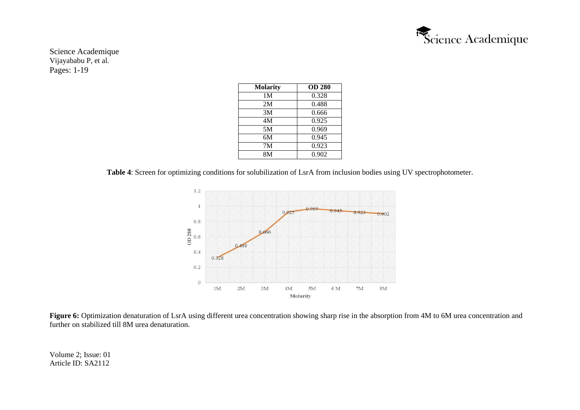

| <b>Molarity</b> | <b>OD 280</b> |
|-----------------|---------------|
| 1 M             | 0.328         |
| 2M              | 0.488         |
| 3M              | 0.666         |
| 4M              | 0.925         |
| 5M              | 0.969         |
| 6M              | 0.945         |
| 7M              | 0.923         |
| 8M              | 0.902         |

**Table 4**: Screen for optimizing conditions for solubilization of LsrA from inclusion bodies using UV spectrophotometer.



Figure 6: Optimization denaturation of LsrA using different urea concentration showing sharp rise in the absorption from 4M to 6M urea concentration and further on stabilized till 8M urea denaturation.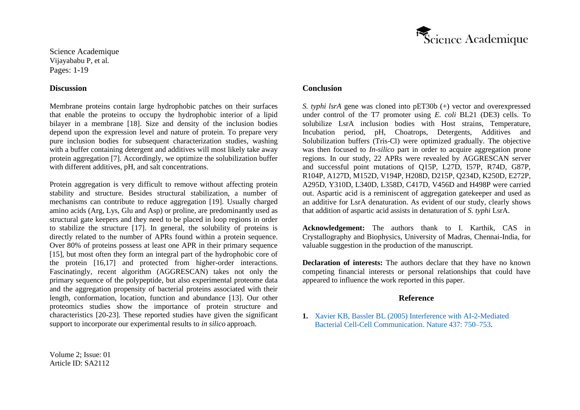

### **Discussion**

Membrane proteins contain large hydrophobic patches on their surfaces that enable the proteins to occupy the hydrophobic interior of a lipid bilayer in a membrane [18]. Size and density of the inclusion bodies depend upon the expression level and nature of protein. To prepare very pure inclusion bodies for subsequent characterization studies, washing with a buffer containing detergent and additives will most likely take away protein aggregation [7]. Accordingly, we optimize the solubilization buffer with different additives, pH, and salt concentrations.

Protein aggregation is very difficult to remove without affecting protein stability and structure. Besides structural stabilization, a number of mechanisms can contribute to reduce aggregation [19]. Usually charged amino acids (Arg, Lys, Glu and Asp) or proline, are predominantly used as structural gate keepers and they need to be placed in loop regions in order to stabilize the structure [17]. In general, the solubility of proteins is directly related to the number of APRs found within a protein sequence. Over 80% of proteins possess at least one APR in their primary sequence [15], but most often they form an integral part of the hydrophobic core of the protein [16,17] and protected from higher-order interactions. Fascinatingly, recent algorithm (AGGRESCAN) takes not only the primary sequence of the polypeptide, but also experimental proteome data and the aggregation propensity of bacterial proteins associated with their length, conformation, location, function and abundance [13]. Our other proteomics studies show the importance of protein structure and characteristics [20-23]. These reported studies have given the significant support to incorporate our experimental results to *in silico* approach.

# **Conclusion**

*S. typhi lsrA* gene was cloned into pET30b (+) vector and overexpressed under control of the T7 promoter using *E. coli* BL21 (DE3) cells. To solubilize LsrA inclusion bodies with Host strains, Temperature, Incubation period, pH, Choatrops, Detergents, Additives and Solubilization buffers (Tris-Cl) were optimized gradually. The objective was then focused to *In-silico* part in order to acquire aggregation prone regions. In our study, 22 APRs were revealed by AGGRESCAN server and successful point mutations of Q15P, L27D, I57P, R74D, G87P, R104P, A127D, M152D, V194P, H208D, D215P, Q234D, K250D, E272P, A295D, Y310D, L340D, L358D, C417D, V456D and H498P were carried out. Aspartic acid is a reminiscent of aggregation gatekeeper and used as an additive for LsrA denaturation. As evident of our study, clearly shows that addition of aspartic acid assists in denaturation of *S. typhi* LsrA.

**Acknowledgement:** The authors thank to I. Karthik, CAS in Crystallography and Biophysics, University of Madras, Chennai-India, for valuable suggestion in the production of the manuscript.

**Declaration of interests:** The authors declare that they have no known competing financial interests or personal relationships that could have appeared to influence the work reported in this paper.

### **Reference**

**1.** [Xavier KB, Bassler BL \(2005\) Interference with AI-2-Mediated](https://www.ncbi.nlm.nih.gov/pmc/articles/PMC1388276/) [Bacterial Cell-Cell Communication. Nature 437:](https://www.ncbi.nlm.nih.gov/pmc/articles/PMC1388276/) 750–753.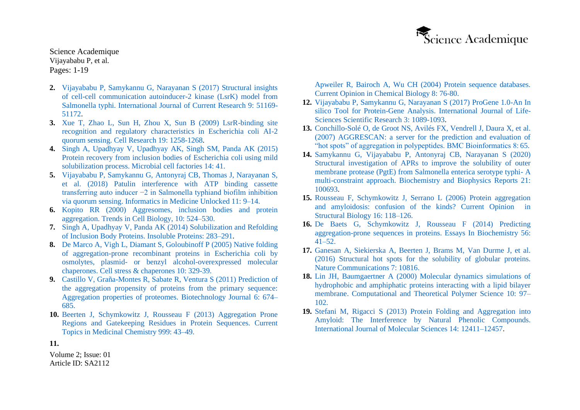

- **2.** [Vijayababu P, Samykannu G, Narayanan S \(2017\) Structural insights](https://www.journalcra.com/article/structural-insights-cell-cell-communication-autoinducer-2-kinase-lsrk-model-salmonella-typhi) [of cell-cell communication autoinducer-2 kinase \(LsrK\) model from](https://www.journalcra.com/article/structural-insights-cell-cell-communication-autoinducer-2-kinase-lsrk-model-salmonella-typhi) [Salmonella typhi. International Journal of Current Research 9: 51169-](https://www.journalcra.com/article/structural-insights-cell-cell-communication-autoinducer-2-kinase-lsrk-model-salmonella-typhi) [51172.](https://www.journalcra.com/article/structural-insights-cell-cell-communication-autoinducer-2-kinase-lsrk-model-salmonella-typhi)
- **3.** [Xue T, Zhao L, Sun H, Zhou X, Sun B \(2009\) LsrR-binding site](https://www.nature.com/articles/cr200991) [recognition and regulatory characteristics in Escherichia coli AI-2](https://www.nature.com/articles/cr200991) [quorum sensing. Cell Research 19: 1258-1268.](https://www.nature.com/articles/cr200991)
- **4.** [Singh A, Upadhyay V, Upadhyay AK, Singh SM, Panda AK \(2015\)](https://microbialcellfactories.biomedcentral.com/articles/10.1186/s12934-015-0222-8) [Protein recovery from inclusion bodies of Escherichia coli using mild](https://microbialcellfactories.biomedcentral.com/articles/10.1186/s12934-015-0222-8) [solubilization process. Microbial cell factories 14:](https://microbialcellfactories.biomedcentral.com/articles/10.1186/s12934-015-0222-8) 41.
- **5.** [Vijayababu P, Samykannu G, Antonyraj CB, Thomas J, Narayanan S,](https://www.sciencedirect.com/science/article/pii/S2352914817302137) [et al. \(2018\) Patulin interference with ATP binding cassette](https://www.sciencedirect.com/science/article/pii/S2352914817302137) [transferring auto inducer −2 in Salmonella typhiand biofilm inhibition](https://www.sciencedirect.com/science/article/pii/S2352914817302137) [via quorum sensing. Informatics in Medicine Unlocked 11:](https://www.sciencedirect.com/science/article/pii/S2352914817302137) 9–14.
- **6.** [Kopito RR \(2000\) Aggresomes, inclusion bodies and protein](https://pubmed.ncbi.nlm.nih.gov/11121744/) [aggregation. Trends in Cell Biology, 10:](https://pubmed.ncbi.nlm.nih.gov/11121744/) 524–530.
- **7.** [Singh A, Upadhyay V, Panda AK \(2014\) Solubilization and Refolding](http://wolfson.huji.ac.il/expression/local/bacteria/singh-panda-2005.pdf) [of Inclusion Body Proteins. Insoluble Proteins:](http://wolfson.huji.ac.il/expression/local/bacteria/singh-panda-2005.pdf) 283–291.
- **8.** [De Marco A, Vigh L, Diamant S, Goloubinoff P \(2005\) Native folding](https://pubmed.ncbi.nlm.nih.gov/16333986/) [of aggregation-prone recombinant proteins in Escherichia coli by](https://pubmed.ncbi.nlm.nih.gov/16333986/) osmolytes, plasmid- [or benzyl alcohol-overexpressed molecular](https://pubmed.ncbi.nlm.nih.gov/16333986/) [chaperones. Cell stress & chaperones 10:](https://pubmed.ncbi.nlm.nih.gov/16333986/) 329-39.
- **9.** [Castillo V, Graña-Montes R, Sabate R, Ventura S \(2011\) Prediction of](http://europepmc.org/article/MED/21538897) [the aggregation propensity of proteins from the primary sequence:](http://europepmc.org/article/MED/21538897) [Aggregation properties of proteomes. Biotechnology Journal](http://europepmc.org/article/MED/21538897) 6: 674[–](http://europepmc.org/article/MED/21538897) [685.](http://europepmc.org/article/MED/21538897)
- **10.** [Beerten J, Schymkowitz J, Rousseau F \(2013\) Aggregation Prone](https://pubmed.ncbi.nlm.nih.gov/23339301/) [Regions and Gatekeeping Residues in Protein Sequences. Current](https://pubmed.ncbi.nlm.nih.gov/23339301/) [Topics in Medicinal Chemistry 999:](https://pubmed.ncbi.nlm.nih.gov/23339301/) 43–49.

[Apweiler R, Bairoch A, Wu CH \(2004\) Protein sequence databases.](https://www.sciencedirect.com/science/article/abs/pii/S136759310300173X) [Current Opinion in Chemical Biology 8:](https://www.sciencedirect.com/science/article/abs/pii/S136759310300173X) 76-80.

- **12.** [Vijayababu P, Samykannu G, Narayanan S \(2017\) ProGene 1.0-An In](https://www.researchgate.net/publication/316667508_ProGene_10-An_In_Silico_Tool_for_Protein-Gene_Analysis) [silico Tool for Protein-Gene Analysis. International Journal of Life-](https://www.researchgate.net/publication/316667508_ProGene_10-An_In_Silico_Tool_for_Protein-Gene_Analysis)[Sciences Scientific Research 3:](https://www.researchgate.net/publication/316667508_ProGene_10-An_In_Silico_Tool_for_Protein-Gene_Analysis) 1089-1093.
- **13.** [Conchillo-Solé O, de Groot NS, Avilés FX, Vendrell J, Daura X, et al.](https://bmcbioinformatics.biomedcentral.com/articles/10.1186/1471-2105-8-65) [\(2007\) AGGRESCAN: a server for the prediction and evaluation of](https://bmcbioinformatics.biomedcentral.com/articles/10.1186/1471-2105-8-65) ["hot spots" of aggregation in polypeptides. BMC Bioinformatics 8:](https://bmcbioinformatics.biomedcentral.com/articles/10.1186/1471-2105-8-65) 65.
- **14.** [Samykannu G, Vijayababu P, Antonyraj CB, Narayanan S \(2020\)](https://www.sciencedirect.com/science/article/pii/S2405580819301232) [Structural investigation of APRs to improve the solubility of outer](https://www.sciencedirect.com/science/article/pii/S2405580819301232) [membrane protease \(PgtE\) from Salmonella enterica serotype typhi-](https://www.sciencedirect.com/science/article/pii/S2405580819301232) [A](https://www.sciencedirect.com/science/article/pii/S2405580819301232) [multi-constraint approach. Biochemistry and Biophysics Reports 21:](https://www.sciencedirect.com/science/article/pii/S2405580819301232) [100693.](https://www.sciencedirect.com/science/article/pii/S2405580819301232)
- **15.** [Rousseau F, Schymkowitz J, Serrano L \(2006\) Protein aggregation](https://pubmed.ncbi.nlm.nih.gov/16434184/) [and amyloidosis: confusion of the kinds? Current Opinion in](https://pubmed.ncbi.nlm.nih.gov/16434184/) [Structural Biology 16: 118–126.](https://pubmed.ncbi.nlm.nih.gov/16434184/)
- **16.** [De Baets G, Schymkowitz J, Rousseau F \(2014\) Predicting](https://pubmed.ncbi.nlm.nih.gov/25131585/) [aggregation-prone sequences in proteins. Essays In Biochemistry 56:](https://pubmed.ncbi.nlm.nih.gov/25131585/) [41–52.](https://pubmed.ncbi.nlm.nih.gov/25131585/)
- **17.** [Ganesan A, Siekierska A, Beerten J, Brams M, Van Durme J, et al.](https://www.nature.com/articles/ncomms10816) [\(2016\) Structural hot spots for the solubility of globular proteins.](https://www.nature.com/articles/ncomms10816) [Nature Communications 7:](https://www.nature.com/articles/ncomms10816) 10816.
- **18.** [Lin JH, Baumgaertner A \(2000\) Molecular dynamics simulations of](https://www.sciencedirect.com/science/article/abs/pii/S1089315699000628) [hydrophobic and amphiphatic proteins interacting with a lipid bilayer](https://www.sciencedirect.com/science/article/abs/pii/S1089315699000628) [membrane. Computational and Theoretical Polymer Science 10: 97–](https://www.sciencedirect.com/science/article/abs/pii/S1089315699000628) [102.](https://www.sciencedirect.com/science/article/abs/pii/S1089315699000628)
- **19.** [Stefani M, Rigacci S \(2013\) Protein Folding and Aggregation into](https://www.mdpi.com/1422-0067/14/6/12411) [Amyloid: The Interference by Natural Phenolic Compounds.](https://www.mdpi.com/1422-0067/14/6/12411) [International Journal of Molecular Sciences 14:](https://www.mdpi.com/1422-0067/14/6/12411) 12411–12457.

**11.**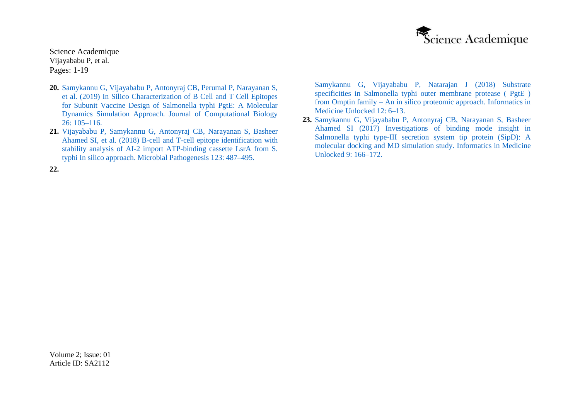

- **20.** [Samykannu G, Vijayababu P, Antonyraj CB, Perumal P, Narayanan S,](https://pubmed.ncbi.nlm.nih.gov/30547672/) [et al. \(2019\) In Silico Characterization of B Cell and T Cell Epitopes](https://pubmed.ncbi.nlm.nih.gov/30547672/) [for Subunit Vaccine Design of Salmonella typhi PgtE: A Molecular](https://pubmed.ncbi.nlm.nih.gov/30547672/) [Dynamics Simulation Approach. Journal of Computational Biology](https://pubmed.ncbi.nlm.nih.gov/30547672/) 26: [105–116.](https://pubmed.ncbi.nlm.nih.gov/30547672/)
- **21.** [Vijayababu P, Samykannu G, Antonyraj CB, Narayanan S, Basheer](https://www.sciencedirect.com/science/article/abs/pii/S0882401018308398) [Ahamed SI, et al. \(2018\) B-cell and T-cell epitope identification with](https://www.sciencedirect.com/science/article/abs/pii/S0882401018308398) [stability analysis of AI-2 import ATP-binding cassette LsrA from S.](https://www.sciencedirect.com/science/article/abs/pii/S0882401018308398) [typhi In silico approach. Microbial Pathogenesis 123:](https://www.sciencedirect.com/science/article/abs/pii/S0882401018308398) 487–495.

[Samykannu G, Vijayababu P, Natarajan J \(2018\) Substrate](https://www.sciencedirect.com/science/article/pii/S2352914818300881) [specificities in Salmonella typhi outer membrane protease \( PgtE \)](https://www.sciencedirect.com/science/article/pii/S2352914818300881) from Omptin family – [An in silico proteomic approach. Informatics in](https://www.sciencedirect.com/science/article/pii/S2352914818300881) [Medicine Unlocked 12:](https://www.sciencedirect.com/science/article/pii/S2352914818300881) 6–13.

**23.** [Samykannu G, Vijayababu P, Antonyraj CB, Narayanan S, Basheer](https://www.sciencedirect.com/science/article/pii/S2352914817300497) [Ahamed SI \(2017\) Investigations of binding mode insight in](https://www.sciencedirect.com/science/article/pii/S2352914817300497) [Salmonella typhi type-III secretion system tip protein \(SipD\): A](https://www.sciencedirect.com/science/article/pii/S2352914817300497) [molecular docking and MD simulation study. Informatics in Medicine](https://www.sciencedirect.com/science/article/pii/S2352914817300497) [Unlocked 9:](https://www.sciencedirect.com/science/article/pii/S2352914817300497) 166–172.

**22.**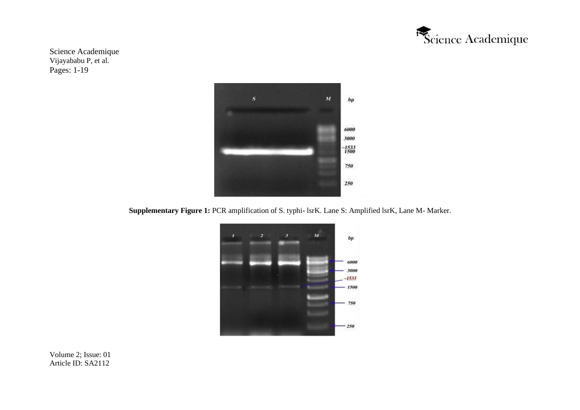



**Supplementary Figure 1:** PCR amplification of S. typhi- lsrK. Lane S: Amplified lsrK, Lane M- Marker.

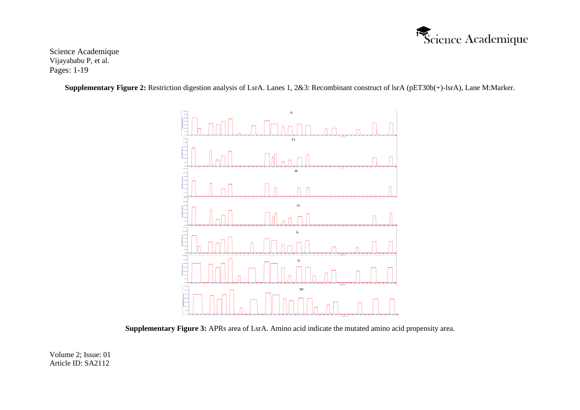

**Supplementary Figure 2:** Restriction digestion analysis of LsrA. Lanes 1, 2&3: Recombinant construct of lsrA (pET30b(+)-lsrA), Lane M:Marker.



**Supplementary Figure 3:** APRs area of LsrA. Amino acid indicate the mutated amino acid propensity area.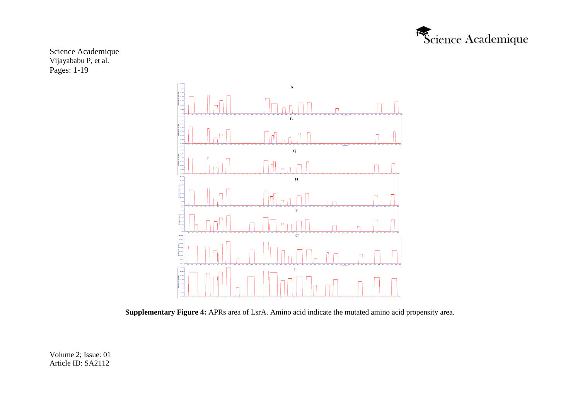



**Supplementary Figure 4:** APRs area of LsrA. Amino acid indicate the mutated amino acid propensity area.